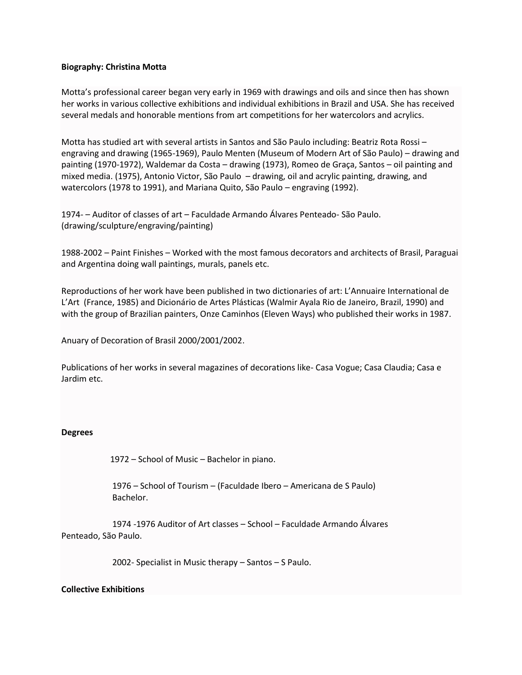## **Biography: Christina Motta**

Motta's professional career began very early in 1969 with drawings and oils and since then has shown her works in various collective exhibitions and individual exhibitions in Brazil and USA. She has received several medals and honorable mentions from art competitions for her watercolors and acrylics.

Motta has studied art with several artists in Santos and São Paulo including: Beatriz Rota Rossi – engraving and drawing (1965-1969), Paulo Menten (Museum of Modern Art of São Paulo) – drawing and painting (1970-1972), Waldemar da Costa – drawing (1973), Romeo de Graça, Santos – oil painting and mixed media. (1975), Antonio Victor, São Paulo – drawing, oil and acrylic painting, drawing, and watercolors (1978 to 1991), and Mariana Quito, São Paulo – engraving (1992).

1974- – Auditor of classes of art – Faculdade Armando Álvares Penteado- São Paulo. (drawing/sculpture/engraving/painting)

1988-2002 – Paint Finishes – Worked with the most famous decorators and architects of Brasil, Paraguai and Argentina doing wall paintings, murals, panels etc.

Reproductions of her work have been published in two dictionaries of art: L'Annuaire International de L'Art (France, 1985) and Dicionário de Artes Plásticas (Walmir Ayala Rio de Janeiro, Brazil, 1990) and with the group of Brazilian painters, Onze Caminhos (Eleven Ways) who published their works in 1987.

Anuary of Decoration of Brasil 2000/2001/2002.

Publications of her works in several magazines of decorations like- Casa Vogue; Casa Claudia; Casa e Jardim etc.

## **Degrees**

1972 – School of Music – Bachelor in piano.

 1976 – School of Tourism – (Faculdade Ibero – Americana de S Paulo) Bachelor.

 1974 -1976 Auditor of Art classes – School – Faculdade Armando Álvares Penteado, São Paulo.

2002- Specialist in Music therapy – Santos – S Paulo.

## **Collective Exhibitions**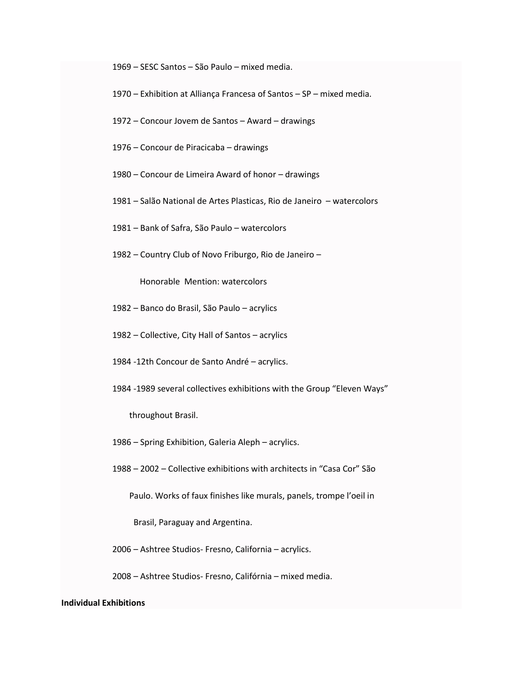– SESC Santos – São Paulo – mixed media.

- Exhibition at Alliança Francesa of Santos SP mixed media.
- Concour Jovem de Santos Award drawings
- Concour de Piracicaba drawings
- Concour de Limeira Award of honor drawings
- Salão National de Artes Plasticas, Rio de Janeiro watercolors
- Bank of Safra, São Paulo watercolors
- Country Club of Novo Friburgo, Rio de Janeiro –

Honorable Mention: watercolors

- Banco do Brasil, São Paulo acrylics
- Collective, City Hall of Santos acrylics
- 1984 -12th Concour de Santo André acrylics.
- 1984 -1989 several collectives exhibitions with the Group "Eleven Ways"

throughout Brasil.

– Spring Exhibition, Galeria Aleph – acrylics.

– 2002 – Collective exhibitions with architects in "Casa Cor" São

Paulo. Works of faux finishes like murals, panels, trompe l'oeil in

Brasil, Paraguay and Argentina.

– Ashtree Studios- Fresno, California – acrylics.

– Ashtree Studios- Fresno, Califórnia – mixed media.

## **Individual Exhibitions**